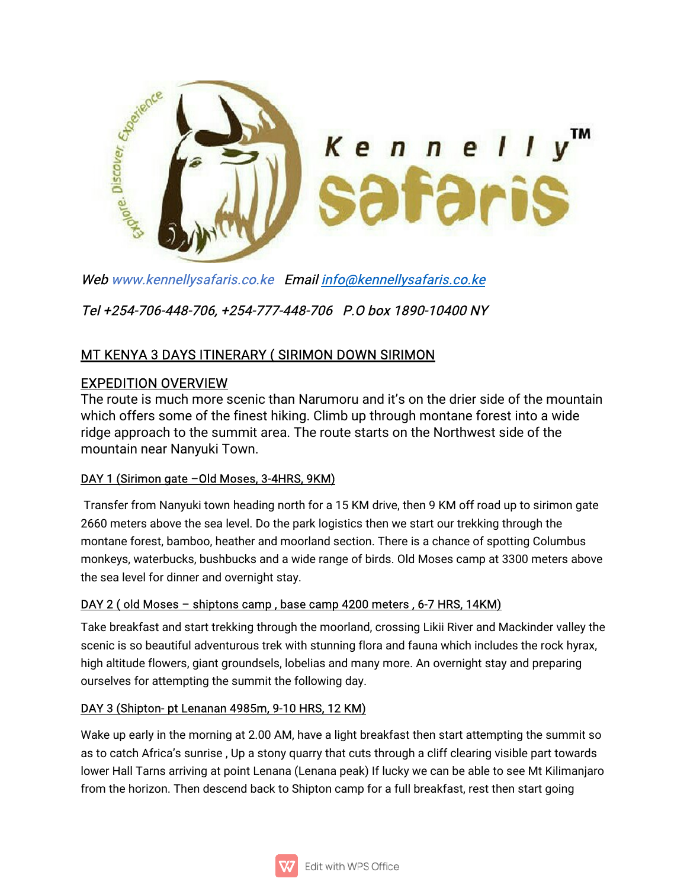

Web www.kennellysafaris.co.ke Email info@kennellysafaris.co.ke

Tel+254-706-448-706,+254-777-448-706 P.Obox1890-10400NY

# MT KENYA 3 DAYS ITINERARY (SIRIMON DOWN SIRIMON

# **EXPEDITION OVERVIEW**

The route is much more scenic than Narumoru and it's on the drier side of the mountain which offers some of the finest hiking. Climb up through montane forest into a wide ridge approach to the summit area. The route starts on the Northwest side of the mountain near Nanyuki Town.

## DAY 1 (Sirimon gate -Old Moses, 3-4HRS, 9KM)

Transfer from Nanyuki town heading north for a 15 KM drive, then 9 KM off road up to sirimon gate 2660 meters above the sea level. Do the park logistics then we start our trekking through the montane forest, bamboo, heather and moorland section. There is a chance of spotting Columbus monkeys, waterbucks, bushbucks and a wide range of birds. Old Moses camp at 3300 meters above the sea level for dinner and overnight stay.

## DAY 2 (old Moses - shiptons camp, base camp 4200 meters, 6-7 HRS, 14KM)

Take breakfast and start trekking through the moorland, crossing Likii River and Mackinder valley the scenic is so beautiful adventurous trek with stunning flora and fauna which includes the rock hyrax, high altitude flowers, giant groundsels, lobelias and many more. An overnight stay and preparing ourselves for attempting the summit the following day.

## DAY 3 (Shipton-pt Lenanan 4985m, 9-10 HRS, 12 KM)

Wake up early in the morning at 2.00 AM, have a light breakfast then start attempting the summit so as to catch Africa's sunrise, Up a stony quarry that cuts through a cliff clearing visible part towards lower Hall Tarns arriving at point Lenana (Lenana peak) If lucky we can be able to see Mt Kilimanjaro from the horizon. Then descend back to Shipton camp for a full breakfast, rest then start going

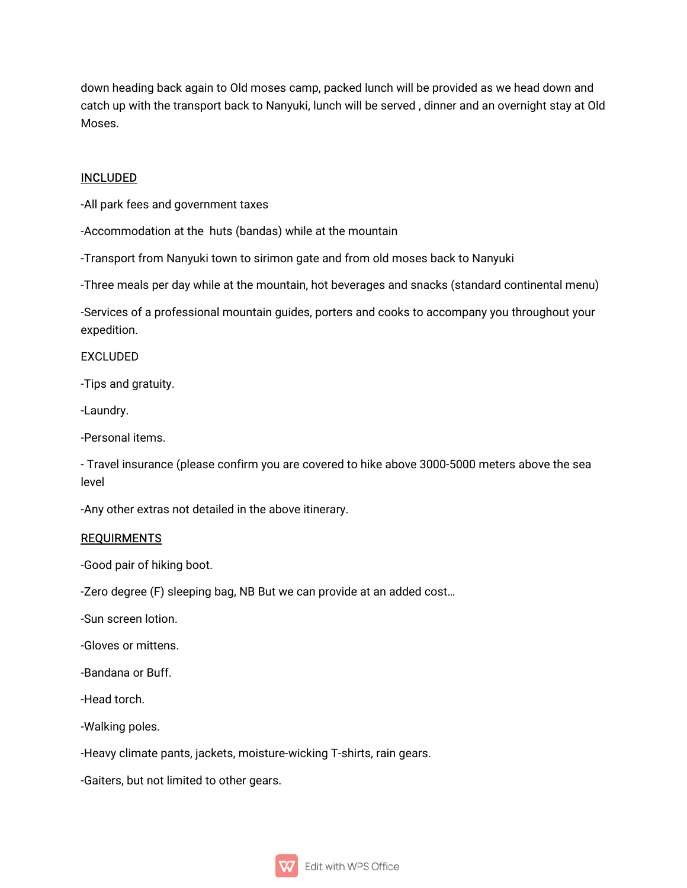down heading back again to Old moses camp, packed lunch will be provided as we head down and catch up with the transport back to Nanyuki, lunch will be served, dinner and an overnight stay at Old Moses.

## INCLUDED

-All park fees and government taxes

-Accommodation at the huts (bandas) while at the mountain

-Transport from Nanyuki town to sirimon gate and from old moses back to Nanyuki

-Three meals per day while at the mountain, hot beverages and snacks (standard continental menu)

-Services of a professional mountain guides, porters and cooks to accompany you throughout your expedition.

EXCLUDED

-Tips and gratuity.

-Laundry.

-Personal items.

- Travel insurance (please confirm you are covered to hike above 3000-5000 meters above the sea level

-Any other extras not detailed in the above itinerary.

#### REQUIRMENTS

-Good pair of hiking boot.

-Zero degree (F) sleeping bag, NB But we can provide at an added cost...

-Sun screen lotion.

-Gloves or mittens.

-Bandana or Buff.

-Head torch.

-Walking poles.

-Heavy climate pants, jackets, moisture-wicking T-shirts, rain gears.

-Gaiters, but not limited to other gears.